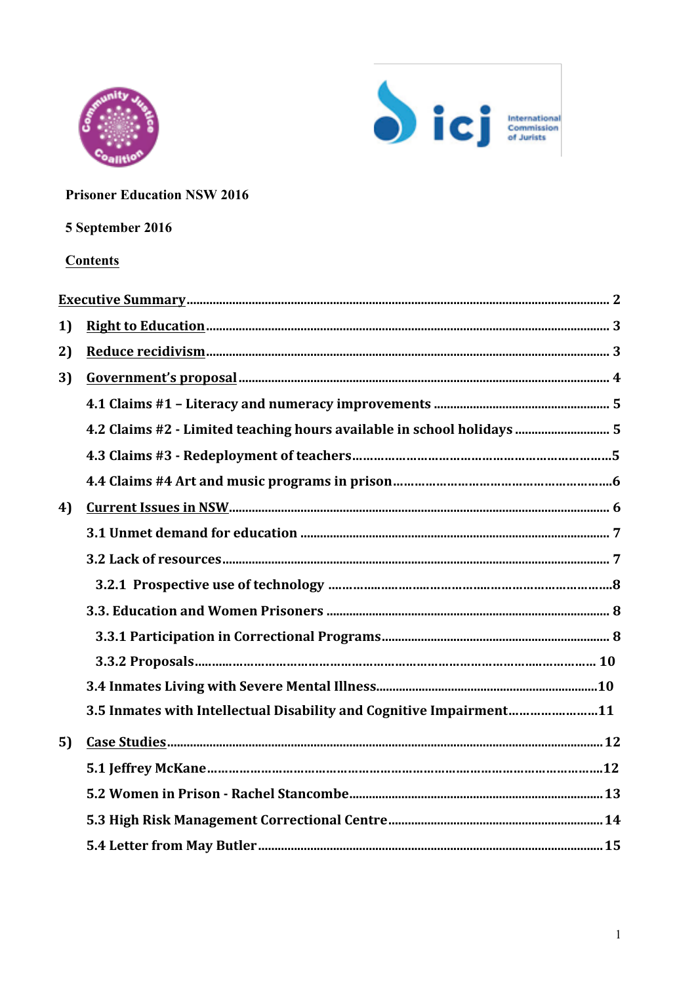



## **Prisoner Education NSW 2016**

# 5 September 2016

## **Contents**

| 1) |                                                                        |
|----|------------------------------------------------------------------------|
| 2) |                                                                        |
| 3) |                                                                        |
|    |                                                                        |
|    | 4.2 Claims #2 - Limited teaching hours available in school holidays  5 |
|    |                                                                        |
|    |                                                                        |
| 4) |                                                                        |
|    |                                                                        |
|    |                                                                        |
|    |                                                                        |
|    |                                                                        |
|    |                                                                        |
|    |                                                                        |
|    |                                                                        |
|    | 3.5 Inmates with Intellectual Disability and Cognitive Impairment11    |
| 5) |                                                                        |
|    |                                                                        |
|    |                                                                        |
|    |                                                                        |
|    |                                                                        |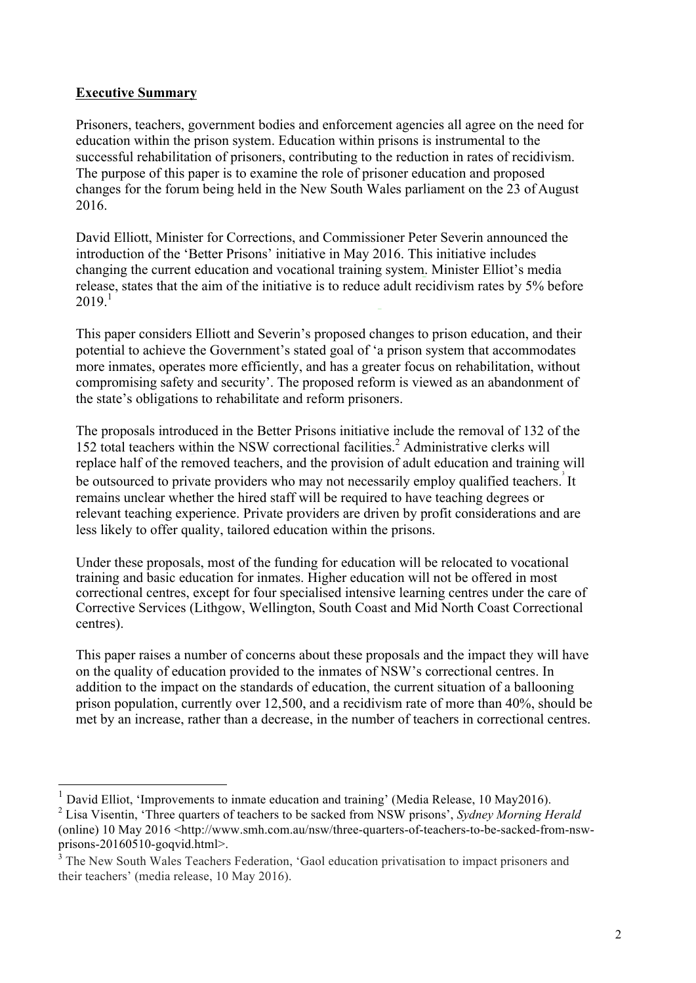#### **Executive Summary**

Prisoners, teachers, government bodies and enforcement agencies all agree on the need for education within the prison system. Education within prisons is instrumental to the successful rehabilitation of prisoners, contributing to the reduction in rates of recidivism. The purpose of this paper is to examine the role of prisoner education and proposed changes for the forum being held in the New South Wales parliament on the 23 of August 2016.

David Elliott, Minister for Corrections, and Commissioner Peter Severin announced the introduction of the 'Better Prisons' initiative in May 2016. This initiative includes changing the current education and vocational training system. Minister Elliot's media release, states that the aim of the initiative is to reduce adult recidivism rates by 5% before  $2019.1$ 

This paper considers Elliott and Severin's proposed changes to prison education, and their potential to achieve the Government's stated goal of 'a prison system that accommodates more inmates, operates more efficiently, and has a greater focus on rehabilitation, without compromising safety and security'. The proposed reform is viewed as an abandonment of the state's obligations to rehabilitate and reform prisoners.

The proposals introduced in the Better Prisons initiative include the removal of 132 of the 152 total teachers within the NSW correctional facilities.<sup>2</sup> Administrative clerks will replace half of the removed teachers, and the provision of adult education and training will be outsourced to private providers who may not necessarily employ qualified teachers. It remains unclear whether the hired staff will be required to have teaching degrees or relevant teaching experience. Private providers are driven by profit considerations and are less likely to offer quality, tailored education within the prisons.

Under these proposals, most of the funding for education will be relocated to vocational training and basic education for inmates. Higher education will not be offered in most correctional centres, except for four specialised intensive learning centres under the care of Corrective Services (Lithgow, Wellington, South Coast and Mid North Coast Correctional centres).

This paper raises a number of concerns about these proposals and the impact they will have on the quality of education provided to the inmates of NSW's correctional centres. In addition to the impact on the standards of education, the current situation of a ballooning prison population, currently over 12,500, and a recidivism rate of more than 40%, should be met by an increase, rather than a decrease, in the number of teachers in correctional centres.

 <sup>1</sup> David Elliot, 'Improvements to inmate education and training' (Media Release, 10 May2016).

<sup>2</sup> Lisa Visentin, 'Three quarters of teachers to be sacked from NSW prisons', *Sydney Morning Herald*  (online) 10 May 2016 <http://www.smh.com.au/nsw/three-quarters-of-teachers-to-be-sacked-from-nswprisons-20160510-goqvid.html>.

<sup>&</sup>lt;sup>3</sup> The New South Wales Teachers Federation, 'Gaol education privatisation to impact prisoners and their teachers' (media release, 10 May 2016).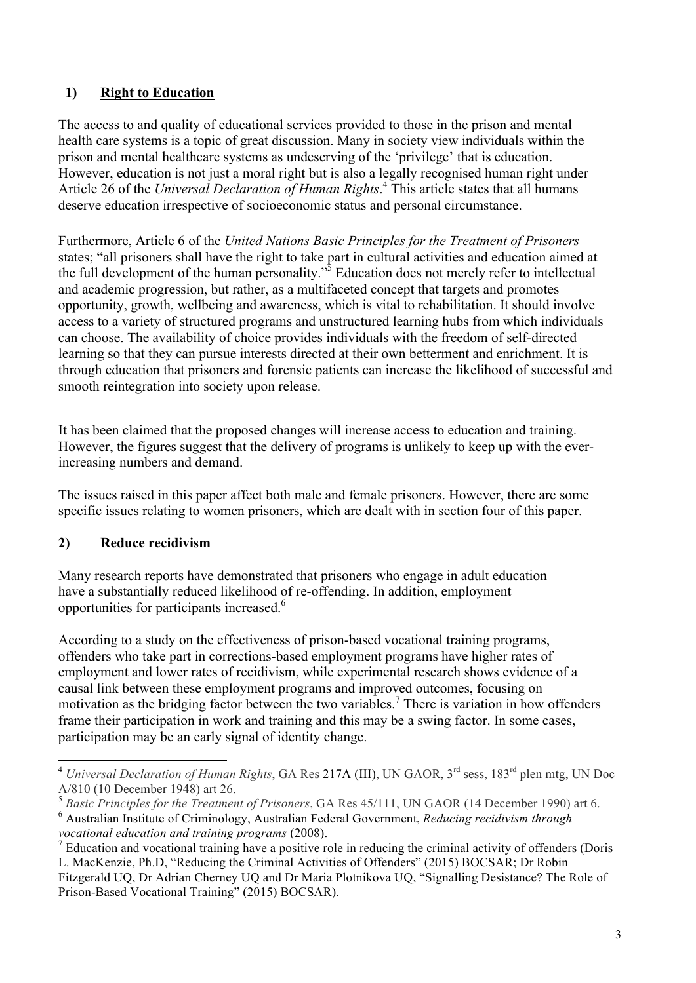# **1) Right to Education**

The access to and quality of educational services provided to those in the prison and mental health care systems is a topic of great discussion. Many in society view individuals within the prison and mental healthcare systems as undeserving of the 'privilege' that is education. However, education is not just a moral right but is also a legally recognised human right under Article 26 of the *Universal Declaration of Human Rights*. <sup>4</sup> This article states that all humans deserve education irrespective of socioeconomic status and personal circumstance.

Furthermore, Article 6 of the *United Nations Basic Principles for the Treatment of Prisoners*  states; "all prisoners shall have the right to take part in cultural activities and education aimed at the full development of the human personality."<sup>5</sup> Education does not merely refer to intellectual and academic progression, but rather, as a multifaceted concept that targets and promotes opportunity, growth, wellbeing and awareness, which is vital to rehabilitation. It should involve access to a variety of structured programs and unstructured learning hubs from which individuals can choose. The availability of choice provides individuals with the freedom of self-directed learning so that they can pursue interests directed at their own betterment and enrichment. It is through education that prisoners and forensic patients can increase the likelihood of successful and smooth reintegration into society upon release.

It has been claimed that the proposed changes will increase access to education and training. However, the figures suggest that the delivery of programs is unlikely to keep up with the everincreasing numbers and demand.

The issues raised in this paper affect both male and female prisoners. However, there are some specific issues relating to women prisoners, which are dealt with in section four of this paper.

# **2) Reduce recidivism**

Many research reports have demonstrated that prisoners who engage in adult education have a substantially reduced likelihood of re-offending. In addition, employment opportunities for participants increased.6

According to a study on the effectiveness of prison-based vocational training programs, offenders who take part in corrections-based employment programs have higher rates of employment and lower rates of recidivism, while experimental research shows evidence of a causal link between these employment programs and improved outcomes, focusing on motivation as the bridging factor between the two variables. <sup>7</sup> There is variation in how offenders frame their participation in work and training and this may be a swing factor. In some cases, participation may be an early signal of identity change.

 <sup>4</sup> *Universal Declaration of Human Rights*, GA Res 217A (III), UN GAOR, 3rd sess, 183rd plen mtg, UN Doc A/810 (10 December 1948) art 26.

<sup>5</sup> *Basic Principles for the Treatment of Prisoners*, GA Res 45/111, UN GAOR (14 December 1990) art 6. <sup>6</sup> Australian Institute of Criminology, Australian Federal Government, *Reducing recidivism through vocational education and training programs* (2008).

<sup>7</sup> Education and vocational training have a positive role in reducing the criminal activity of offenders (Doris L. MacKenzie, Ph.D, "Reducing the Criminal Activities of Offenders" (2015) BOCSAR; Dr Robin Fitzgerald UQ, Dr Adrian Cherney UQ and Dr Maria Plotnikova UQ, "Signalling Desistance? The Role of Prison-Based Vocational Training" (2015) BOCSAR).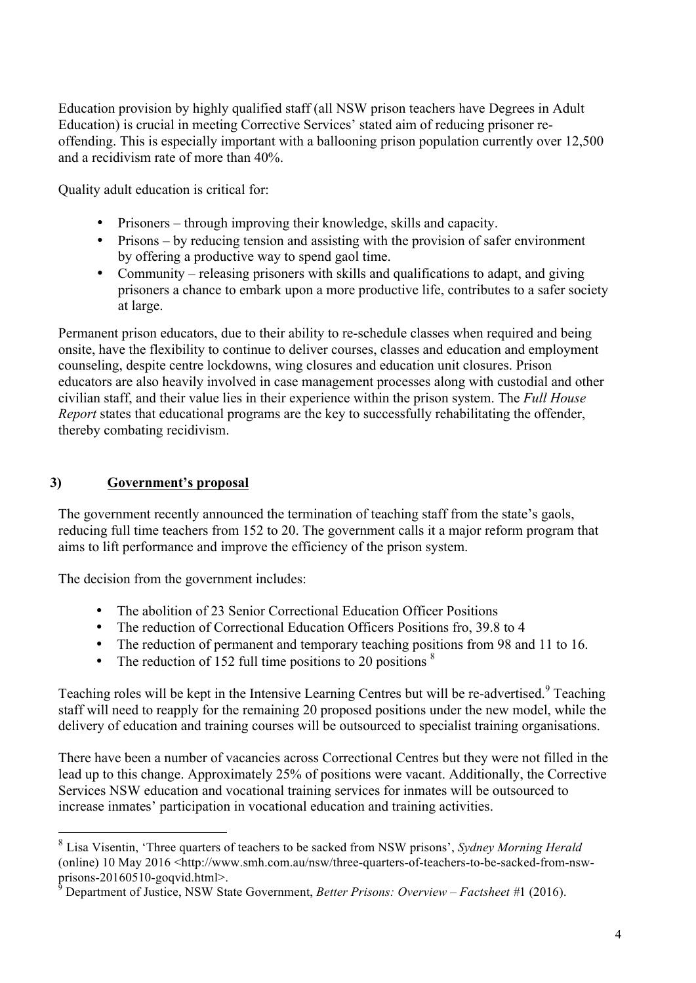Education provision by highly qualified staff (all NSW prison teachers have Degrees in Adult Education) is crucial in meeting Corrective Services' stated aim of reducing prisoner reoffending. This is especially important with a ballooning prison population currently over 12,500 and a recidivism rate of more than 40%.

Quality adult education is critical for:

- Prisoners through improving their knowledge, skills and capacity.
- Prisons by reducing tension and assisting with the provision of safer environment by offering a productive way to spend gaol time.
- Community releasing prisoners with skills and qualifications to adapt, and giving prisoners a chance to embark upon a more productive life, contributes to a safer society at large.

Permanent prison educators, due to their ability to re-schedule classes when required and being onsite, have the flexibility to continue to deliver courses, classes and education and employment counseling, despite centre lockdowns, wing closures and education unit closures. Prison educators are also heavily involved in case management processes along with custodial and other civilian staff, and their value lies in their experience within the prison system. The *Full House Report* states that educational programs are the key to successfully rehabilitating the offender, thereby combating recidivism.

## **3) Government's proposal**

The government recently announced the termination of teaching staff from the state's gaols, reducing full time teachers from 152 to 20. The government calls it a major reform program that aims to lift performance and improve the efficiency of the prison system.

The decision from the government includes:

- The abolition of 23 Senior Correctional Education Officer Positions
- The reduction of Correctional Education Officers Positions fro, 39.8 to 4
- The reduction of permanent and temporary teaching positions from 98 and 11 to 16.
- The reduction of 152 full time positions to 20 positions  $\frac{8}{3}$

Teaching roles will be kept in the Intensive Learning Centres but will be re-advertised.<sup>9</sup> Teaching staff will need to reapply for the remaining 20 proposed positions under the new model, while the delivery of education and training courses will be outsourced to specialist training organisations.

There have been a number of vacancies across Correctional Centres but they were not filled in the lead up to this change. Approximately 25% of positions were vacant. Additionally, the Corrective Services NSW education and vocational training services for inmates will be outsourced to increase inmates' participation in vocational education and training activities.

 <sup>8</sup> Lisa Visentin, 'Three quarters of teachers to be sacked from NSW prisons', *Sydney Morning Herald*  (online) 10 May 2016 <http://www.smh.com.au/nsw/three-quarters-of-teachers-to-be-sacked-from-nswprisons-20160510-goqvid.html>.

<sup>9</sup> Department of Justice, NSW State Government, *Better Prisons: Overview* – *Factsheet #*1 (2016).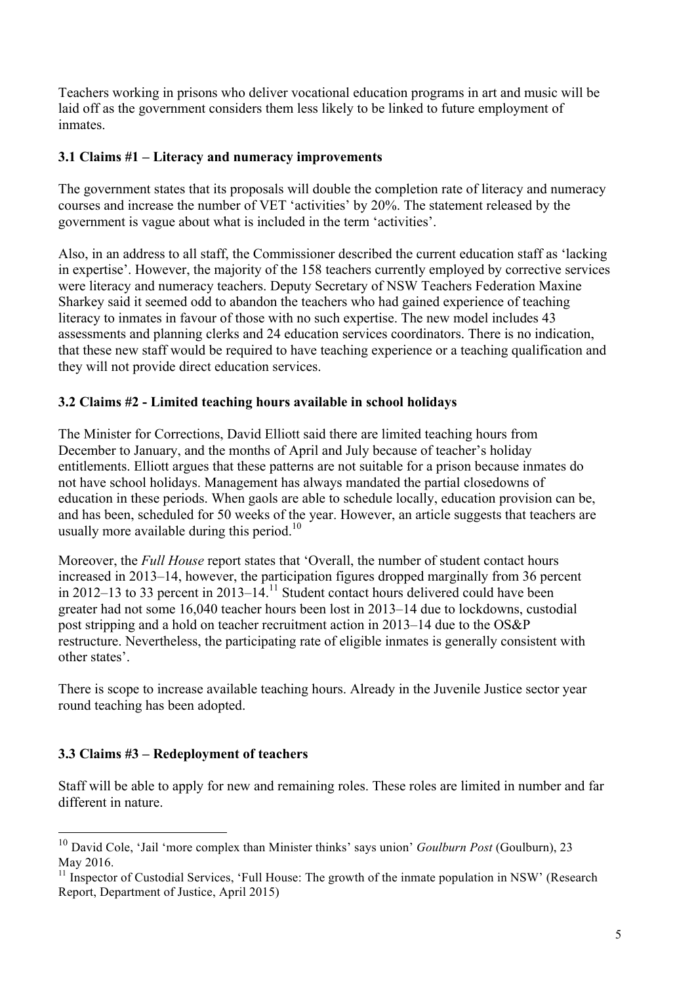Teachers working in prisons who deliver vocational education programs in art and music will be laid off as the government considers them less likely to be linked to future employment of inmates.

## **3.1 Claims #1 – Literacy and numeracy improvements**

The government states that its proposals will double the completion rate of literacy and numeracy courses and increase the number of VET 'activities' by 20%. The statement released by the government is vague about what is included in the term 'activities'.

Also, in an address to all staff, the Commissioner described the current education staff as 'lacking in expertise'. However, the majority of the 158 teachers currently employed by corrective services were literacy and numeracy teachers. Deputy Secretary of NSW Teachers Federation Maxine Sharkey said it seemed odd to abandon the teachers who had gained experience of teaching literacy to inmates in favour of those with no such expertise. The new model includes 43 assessments and planning clerks and 24 education services coordinators. There is no indication, that these new staff would be required to have teaching experience or a teaching qualification and they will not provide direct education services.

# **3.2 Claims #2 - Limited teaching hours available in school holidays**

The Minister for Corrections, David Elliott said there are limited teaching hours from December to January, and the months of April and July because of teacher's holiday entitlements. Elliott argues that these patterns are not suitable for a prison because inmates do not have school holidays. Management has always mandated the partial closedowns of education in these periods. When gaols are able to schedule locally, education provision can be, and has been, scheduled for 50 weeks of the year. However, an article suggests that teachers are usually more available during this period.<sup>10</sup>

Moreover, the *Full House* report states that 'Overall, the number of student contact hours increased in 2013–14, however, the participation figures dropped marginally from 36 percent in 2012–13 to 33 percent in 2013–14.<sup>11</sup> Student contact hours delivered could have been greater had not some 16,040 teacher hours been lost in 2013–14 due to lockdowns, custodial post stripping and a hold on teacher recruitment action in 2013–14 due to the OS&P restructure. Nevertheless, the participating rate of eligible inmates is generally consistent with other states'.

There is scope to increase available teaching hours. Already in the Juvenile Justice sector year round teaching has been adopted.

# **3.3 Claims #3 – Redeployment of teachers**

Staff will be able to apply for new and remaining roles. These roles are limited in number and far different in nature.

 <sup>10</sup> David Cole, 'Jail 'more complex than Minister thinks' says union' *Goulburn Post* (Goulburn), 23 May 2016.

 $11$  Inspector of Custodial Services, 'Full House: The growth of the inmate population in NSW' (Research Report, Department of Justice, April 2015)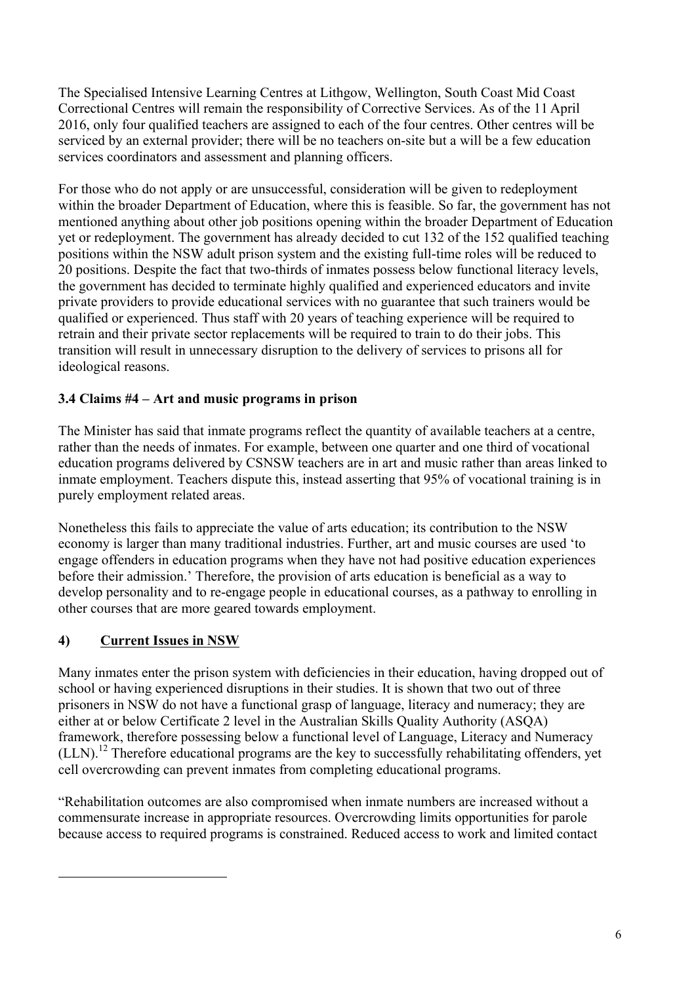The Specialised Intensive Learning Centres at Lithgow, Wellington, South Coast Mid Coast Correctional Centres will remain the responsibility of Corrective Services. As of the 11 April 2016, only four qualified teachers are assigned to each of the four centres. Other centres will be serviced by an external provider; there will be no teachers on-site but a will be a few education services coordinators and assessment and planning officers.

For those who do not apply or are unsuccessful, consideration will be given to redeployment within the broader Department of Education, where this is feasible. So far, the government has not mentioned anything about other job positions opening within the broader Department of Education yet or redeployment. The government has already decided to cut 132 of the 152 qualified teaching positions within the NSW adult prison system and the existing full-time roles will be reduced to 20 positions. Despite the fact that two-thirds of inmates possess below functional literacy levels, the government has decided to terminate highly qualified and experienced educators and invite private providers to provide educational services with no guarantee that such trainers would be qualified or experienced. Thus staff with 20 years of teaching experience will be required to retrain and their private sector replacements will be required to train to do their jobs. This transition will result in unnecessary disruption to the delivery of services to prisons all for ideological reasons.

# **3.4 Claims #4 – Art and music programs in prison**

The Minister has said that inmate programs reflect the quantity of available teachers at a centre, rather than the needs of inmates. For example, between one quarter and one third of vocational education programs delivered by CSNSW teachers are in art and music rather than areas linked to inmate employment. Teachers dispute this, instead asserting that 95% of vocational training is in purely employment related areas.

Nonetheless this fails to appreciate the value of arts education; its contribution to the NSW economy is larger than many traditional industries. Further, art and music courses are used 'to engage offenders in education programs when they have not had positive education experiences before their admission.' Therefore, the provision of arts education is beneficial as a way to develop personality and to re-engage people in educational courses, as a pathway to enrolling in other courses that are more geared towards employment.

# **4) Current Issues in NSW**

l

Many inmates enter the prison system with deficiencies in their education, having dropped out of school or having experienced disruptions in their studies. It is shown that two out of three prisoners in NSW do not have a functional grasp of language, literacy and numeracy; they are either at or below Certificate 2 level in the Australian Skills Quality Authority (ASQA) framework, therefore possessing below a functional level of Language, Literacy and Numeracy  $(LLN).$ <sup>12</sup> Therefore educational programs are the key to successfully rehabilitating offenders, yet cell overcrowding can prevent inmates from completing educational programs.

"Rehabilitation outcomes are also compromised when inmate numbers are increased without a commensurate increase in appropriate resources. Overcrowding limits opportunities for parole because access to required programs is constrained. Reduced access to work and limited contact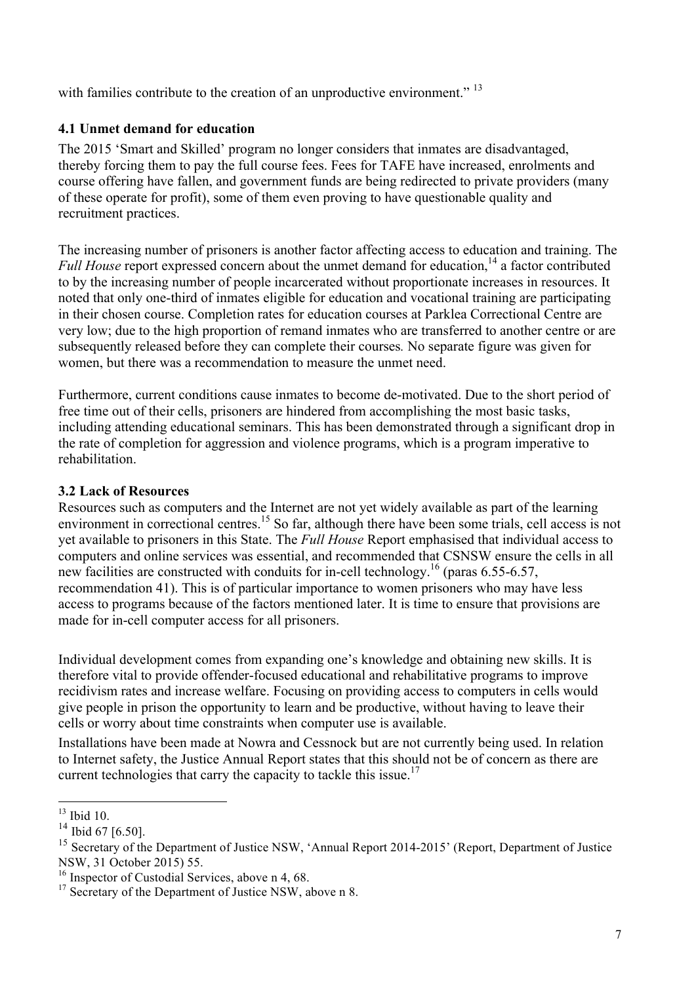with families contribute to the creation of an unproductive environment."<sup>13</sup>

#### **4.1 Unmet demand for education**

The 2015 'Smart and Skilled' program no longer considers that inmates are disadvantaged, thereby forcing them to pay the full course fees. Fees for TAFE have increased, enrolments and course offering have fallen, and government funds are being redirected to private providers (many of these operate for profit), some of them even proving to have questionable quality and recruitment practices.

The increasing number of prisoners is another factor affecting access to education and training. The *Full House* report expressed concern about the unmet demand for education,<sup>14</sup> a factor contributed to by the increasing number of people incarcerated without proportionate increases in resources. It noted that only one-third of inmates eligible for education and vocational training are participating in their chosen course. Completion rates for education courses at Parklea Correctional Centre are very low; due to the high proportion of remand inmates who are transferred to another centre or are subsequently released before they can complete their courses*.* No separate figure was given for women, but there was a recommendation to measure the unmet need.

Furthermore, current conditions cause inmates to become de-motivated. Due to the short period of free time out of their cells, prisoners are hindered from accomplishing the most basic tasks, including attending educational seminars. This has been demonstrated through a significant drop in the rate of completion for aggression and violence programs, which is a program imperative to rehabilitation.

#### **3.2 Lack of Resources**

Resources such as computers and the Internet are not yet widely available as part of the learning environment in correctional centres.<sup>15</sup> So far, although there have been some trials, cell access is not yet available to prisoners in this State. The *Full House* Report emphasised that individual access to computers and online services was essential, and recommended that CSNSW ensure the cells in all new facilities are constructed with conduits for in-cell technology.<sup>16</sup> (paras 6.55-6.57, recommendation 41). This is of particular importance to women prisoners who may have less access to programs because of the factors mentioned later. It is time to ensure that provisions are made for in-cell computer access for all prisoners.

Individual development comes from expanding one's knowledge and obtaining new skills. It is therefore vital to provide offender-focused educational and rehabilitative programs to improve recidivism rates and increase welfare. Focusing on providing access to computers in cells would give people in prison the opportunity to learn and be productive, without having to leave their cells or worry about time constraints when computer use is available.

Installations have been made at Nowra and Cessnock but are not currently being used. In relation to Internet safety, the Justice Annual Report states that this should not be of concern as there are current technologies that carry the capacity to tackle this issue.<sup>17</sup>

 $13$  Ibid 10.

 $^{14}$  Ibid 67 [6.50].

<sup>&</sup>lt;sup>15</sup> Secretary of the Department of Justice NSW, 'Annual Report 2014-2015' (Report, Department of Justice NSW, 31 October 2015) 55.

<sup>&</sup>lt;sup>16</sup> Inspector of Custodial Services, above n 4, 68.

<sup>&</sup>lt;sup>17</sup> Secretary of the Department of Justice NSW, above n 8.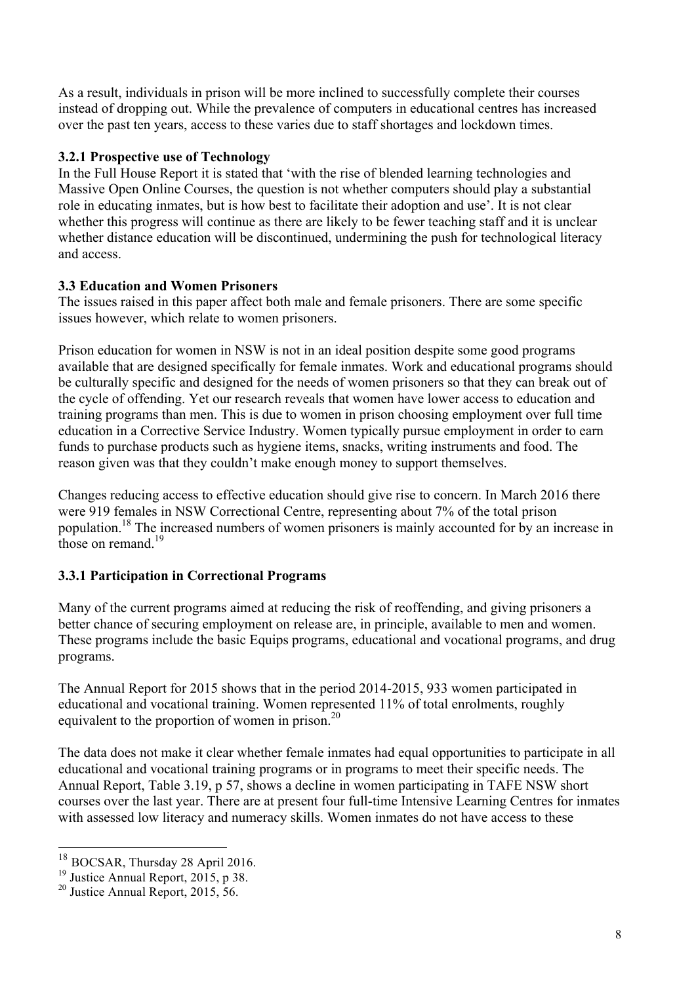As a result, individuals in prison will be more inclined to successfully complete their courses instead of dropping out. While the prevalence of computers in educational centres has increased over the past ten years, access to these varies due to staff shortages and lockdown times.

## **3.2.1 Prospective use of Technology**

In the Full House Report it is stated that 'with the rise of blended learning technologies and Massive Open Online Courses, the question is not whether computers should play a substantial role in educating inmates, but is how best to facilitate their adoption and use'. It is not clear whether this progress will continue as there are likely to be fewer teaching staff and it is unclear whether distance education will be discontinued, undermining the push for technological literacy and access.

#### **3.3 Education and Women Prisoners**

The issues raised in this paper affect both male and female prisoners. There are some specific issues however, which relate to women prisoners.

Prison education for women in NSW is not in an ideal position despite some good programs available that are designed specifically for female inmates. Work and educational programs should be culturally specific and designed for the needs of women prisoners so that they can break out of the cycle of offending. Yet our research reveals that women have lower access to education and training programs than men. This is due to women in prison choosing employment over full time education in a Corrective Service Industry. Women typically pursue employment in order to earn funds to purchase products such as hygiene items, snacks, writing instruments and food. The reason given was that they couldn't make enough money to support themselves.

Changes reducing access to effective education should give rise to concern. In March 2016 there were 919 females in NSW Correctional Centre, representing about 7% of the total prison population.18 The increased numbers of women prisoners is mainly accounted for by an increase in those on remand.<sup>19</sup>

# **3.3.1 Participation in Correctional Programs**

Many of the current programs aimed at reducing the risk of reoffending, and giving prisoners a better chance of securing employment on release are, in principle, available to men and women. These programs include the basic Equips programs, educational and vocational programs, and drug programs.

The Annual Report for 2015 shows that in the period 2014-2015, 933 women participated in educational and vocational training. Women represented 11% of total enrolments, roughly equivalent to the proportion of women in prison.<sup>20</sup>

The data does not make it clear whether female inmates had equal opportunities to participate in all educational and vocational training programs or in programs to meet their specific needs. The Annual Report, Table 3.19, p 57, shows a decline in women participating in TAFE NSW short courses over the last year. There are at present four full-time Intensive Learning Centres for inmates with assessed low literacy and numeracy skills. Women inmates do not have access to these

 <sup>18</sup> BOCSAR, Thursday 28 April 2016.

 $19$  Justice Annual Report, 2015, p 38.

 $^{20}$  Justice Annual Report, 2015, 56.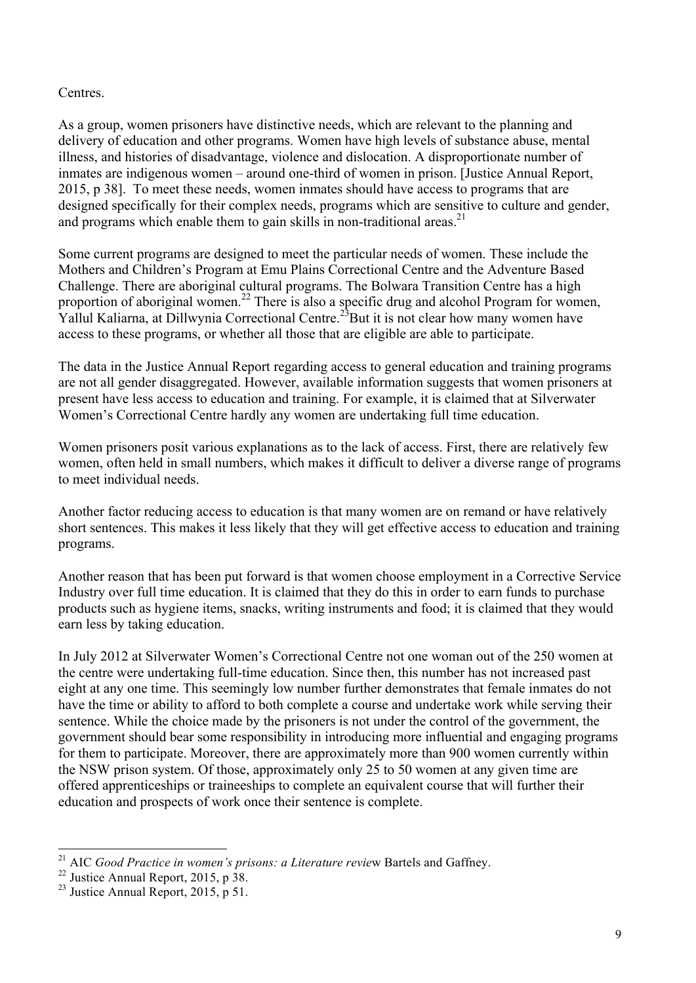#### Centres.

As a group, women prisoners have distinctive needs, which are relevant to the planning and delivery of education and other programs. Women have high levels of substance abuse, mental illness, and histories of disadvantage, violence and dislocation. A disproportionate number of inmates are indigenous women – around one-third of women in prison. [Justice Annual Report, 2015, p 38]. To meet these needs, women inmates should have access to programs that are designed specifically for their complex needs, programs which are sensitive to culture and gender, and programs which enable them to gain skills in non-traditional areas.<sup>21</sup>

Some current programs are designed to meet the particular needs of women. These include the Mothers and Children's Program at Emu Plains Correctional Centre and the Adventure Based Challenge. There are aboriginal cultural programs. The Bolwara Transition Centre has a high proportion of aboriginal women.<sup>22</sup> There is also a specific drug and alcohol Program for women, Yallul Kaliarna, at Dillwynia Correctional Centre.<sup>23</sup>But it is not clear how many women have access to these programs, or whether all those that are eligible are able to participate.

The data in the Justice Annual Report regarding access to general education and training programs are not all gender disaggregated. However, available information suggests that women prisoners at present have less access to education and training. For example, it is claimed that at Silverwater Women's Correctional Centre hardly any women are undertaking full time education.

Women prisoners posit various explanations as to the lack of access. First, there are relatively few women, often held in small numbers, which makes it difficult to deliver a diverse range of programs to meet individual needs.

Another factor reducing access to education is that many women are on remand or have relatively short sentences. This makes it less likely that they will get effective access to education and training programs.

Another reason that has been put forward is that women choose employment in a Corrective Service Industry over full time education. It is claimed that they do this in order to earn funds to purchase products such as hygiene items, snacks, writing instruments and food; it is claimed that they would earn less by taking education.

In July 2012 at Silverwater Women's Correctional Centre not one woman out of the 250 women at the centre were undertaking full-time education. Since then, this number has not increased past eight at any one time. This seemingly low number further demonstrates that female inmates do not have the time or ability to afford to both complete a course and undertake work while serving their sentence. While the choice made by the prisoners is not under the control of the government, the government should bear some responsibility in introducing more influential and engaging programs for them to participate. Moreover, there are approximately more than 900 women currently within the NSW prison system. Of those, approximately only 25 to 50 women at any given time are offered apprenticeships or traineeships to complete an equivalent course that will further their education and prospects of work once their sentence is complete.

 <sup>21</sup> AIC *Good Practice in women's prisons: a Literature revie*w Bartels and Gaffney.

 $22$  Justice Annual Report, 2015, p 38.

<sup>&</sup>lt;sup>23</sup> Justice Annual Report,  $2015$ , p 51.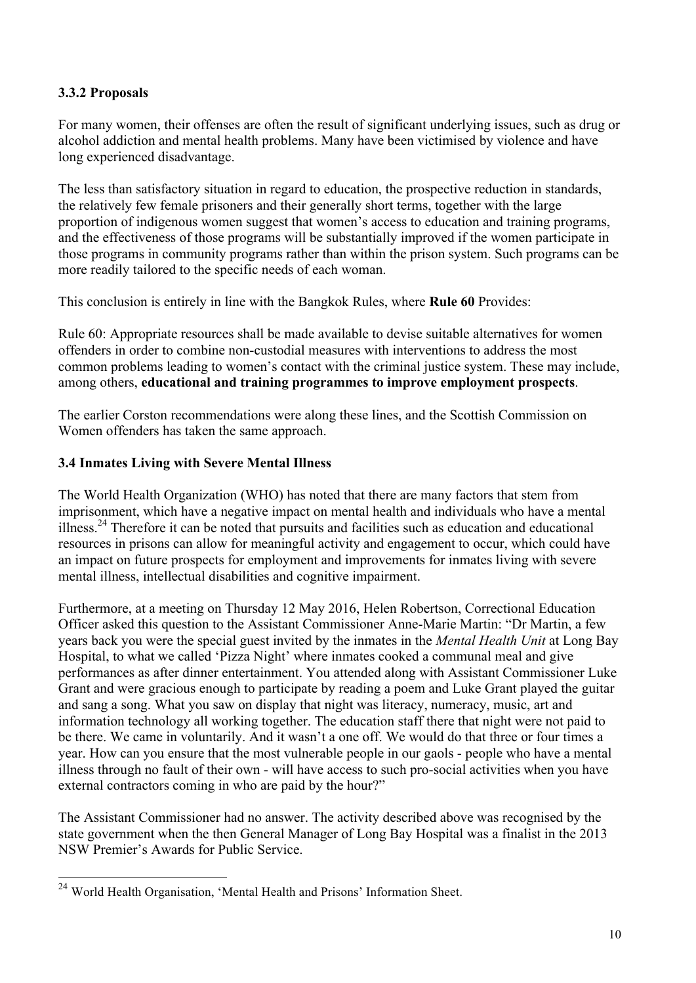## **3.3.2 Proposals**

For many women, their offenses are often the result of significant underlying issues, such as drug or alcohol addiction and mental health problems. Many have been victimised by violence and have long experienced disadvantage.

The less than satisfactory situation in regard to education, the prospective reduction in standards, the relatively few female prisoners and their generally short terms, together with the large proportion of indigenous women suggest that women's access to education and training programs, and the effectiveness of those programs will be substantially improved if the women participate in those programs in community programs rather than within the prison system. Such programs can be more readily tailored to the specific needs of each woman.

This conclusion is entirely in line with the Bangkok Rules, where **Rule 60** Provides:

Rule 60: Appropriate resources shall be made available to devise suitable alternatives for women offenders in order to combine non-custodial measures with interventions to address the most common problems leading to women's contact with the criminal justice system. These may include, among others, **educational and training programmes to improve employment prospects**.

The earlier Corston recommendations were along these lines, and the Scottish Commission on Women offenders has taken the same approach.

#### **3.4 Inmates Living with Severe Mental Illness**

The World Health Organization (WHO) has noted that there are many factors that stem from imprisonment, which have a negative impact on mental health and individuals who have a mental illness.24 Therefore it can be noted that pursuits and facilities such as education and educational resources in prisons can allow for meaningful activity and engagement to occur, which could have an impact on future prospects for employment and improvements for inmates living with severe mental illness, intellectual disabilities and cognitive impairment.

Furthermore, at a meeting on Thursday 12 May 2016, Helen Robertson, Correctional Education Officer asked this question to the Assistant Commissioner Anne-Marie Martin: "Dr Martin, a few years back you were the special guest invited by the inmates in the *Mental Health Unit* at Long Bay Hospital, to what we called 'Pizza Night' where inmates cooked a communal meal and give performances as after dinner entertainment. You attended along with Assistant Commissioner Luke Grant and were gracious enough to participate by reading a poem and Luke Grant played the guitar and sang a song. What you saw on display that night was literacy, numeracy, music, art and information technology all working together. The education staff there that night were not paid to be there. We came in voluntarily. And it wasn't a one off. We would do that three or four times a year. How can you ensure that the most vulnerable people in our gaols - people who have a mental illness through no fault of their own - will have access to such pro-social activities when you have external contractors coming in who are paid by the hour?"

The Assistant Commissioner had no answer. The activity described above was recognised by the state government when the then General Manager of Long Bay Hospital was a finalist in the 2013 NSW Premier's Awards for Public Service.

 <sup>24</sup> World Health Organisation, 'Mental Health and Prisons' Information Sheet.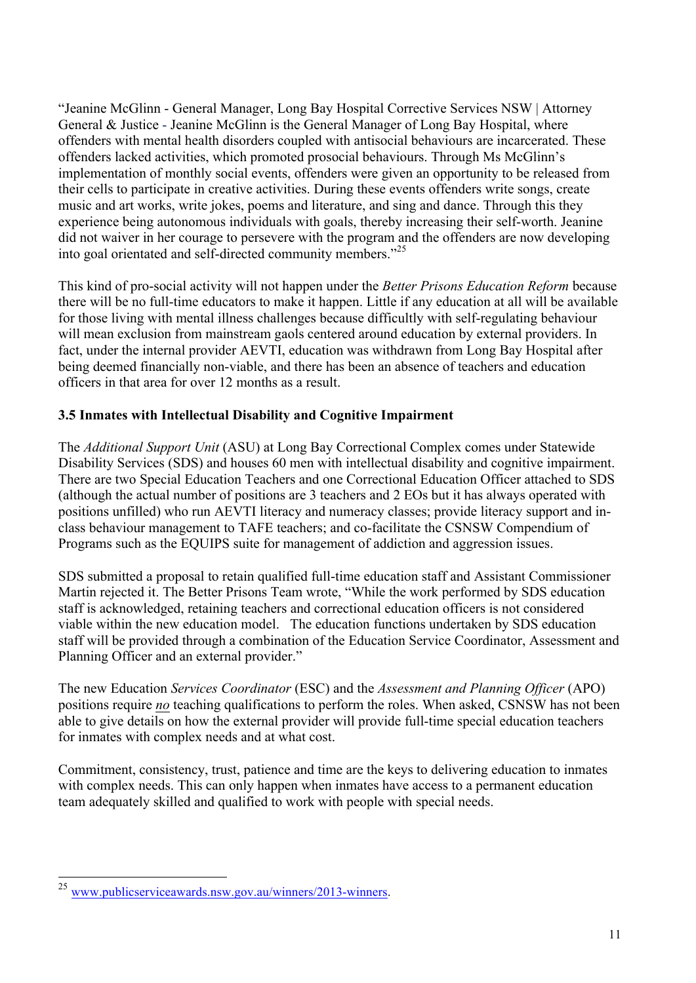"Jeanine McGlinn - General Manager, Long Bay Hospital Corrective Services NSW | Attorney General & Justice - Jeanine McGlinn is the General Manager of Long Bay Hospital, where offenders with mental health disorders coupled with antisocial behaviours are incarcerated. These offenders lacked activities, which promoted prosocial behaviours. Through Ms McGlinn's implementation of monthly social events, offenders were given an opportunity to be released from their cells to participate in creative activities. During these events offenders write songs, create music and art works, write jokes, poems and literature, and sing and dance. Through this they experience being autonomous individuals with goals, thereby increasing their self-worth. Jeanine did not waiver in her courage to persevere with the program and the offenders are now developing into goal orientated and self-directed community members."<sup>25</sup>

This kind of pro-social activity will not happen under the *Better Prisons Education Reform* because there will be no full-time educators to make it happen. Little if any education at all will be available for those living with mental illness challenges because difficultly with self-regulating behaviour will mean exclusion from mainstream gaols centered around education by external providers. In fact, under the internal provider AEVTI, education was withdrawn from Long Bay Hospital after being deemed financially non-viable, and there has been an absence of teachers and education officers in that area for over 12 months as a result.

# **3.5 Inmates with Intellectual Disability and Cognitive Impairment**

The *Additional Support Unit* (ASU) at Long Bay Correctional Complex comes under Statewide Disability Services (SDS) and houses 60 men with intellectual disability and cognitive impairment. There are two Special Education Teachers and one Correctional Education Officer attached to SDS (although the actual number of positions are 3 teachers and 2 EOs but it has always operated with positions unfilled) who run AEVTI literacy and numeracy classes; provide literacy support and inclass behaviour management to TAFE teachers; and co-facilitate the CSNSW Compendium of Programs such as the EQUIPS suite for management of addiction and aggression issues.

SDS submitted a proposal to retain qualified full-time education staff and Assistant Commissioner Martin rejected it. The Better Prisons Team wrote, "While the work performed by SDS education staff is acknowledged, retaining teachers and correctional education officers is not considered viable within the new education model. The education functions undertaken by SDS education staff will be provided through a combination of the Education Service Coordinator, Assessment and Planning Officer and an external provider."

The new Education *Services Coordinator* (ESC) and the *Assessment and Planning Officer* (APO) positions require *no* teaching qualifications to perform the roles. When asked, CSNSW has not been able to give details on how the external provider will provide full-time special education teachers for inmates with complex needs and at what cost.

Commitment, consistency, trust, patience and time are the keys to delivering education to inmates with complex needs. This can only happen when inmates have access to a permanent education team adequately skilled and qualified to work with people with special needs.

 <sup>25</sup> www.publicserviceawards.nsw.gov.au/winners/2013-winners.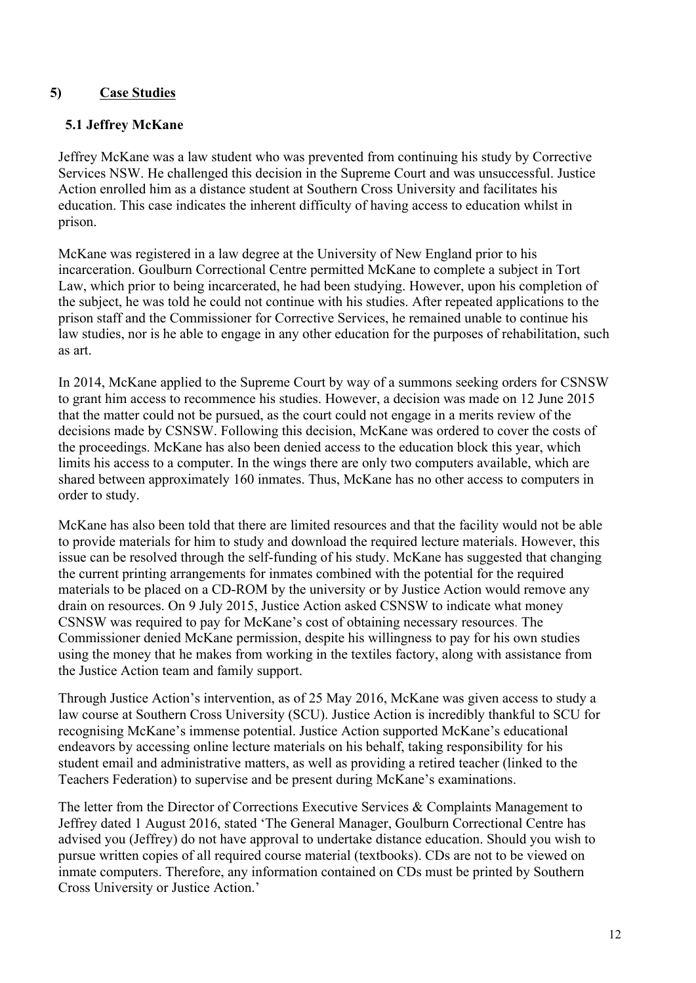## **5) Case Studies**

#### **5.1 Jeffrey McKane**

Jeffrey McKane was a law student who was prevented from continuing his study by Corrective Services NSW. He challenged this decision in the Supreme Court and was unsuccessful. Justice Action enrolled him as a distance student at Southern Cross University and facilitates his education. This case indicates the inherent difficulty of having access to education whilst in prison.

McKane was registered in a law degree at the University of New England prior to his incarceration. Goulburn Correctional Centre permitted McKane to complete a subject in Tort Law, which prior to being incarcerated, he had been studying. However, upon his completion of the subject, he was told he could not continue with his studies. After repeated applications to the prison staff and the Commissioner for Corrective Services, he remained unable to continue his law studies, nor is he able to engage in any other education for the purposes of rehabilitation, such as art.

In 2014, McKane applied to the Supreme Court by way of a summons seeking orders for CSNSW to grant him access to recommence his studies. However, a decision was made on 12 June 2015 that the matter could not be pursued, as the court could not engage in a merits review of the decisions made by CSNSW. Following this decision, McKane was ordered to cover the costs of the proceedings. McKane has also been denied access to the education block this year, which limits his access to a computer. In the wings there are only two computers available, which are shared between approximately 160 inmates. Thus, McKane has no other access to computers in order to study.

McKane has also been told that there are limited resources and that the facility would not be able to provide materials for him to study and download the required lecture materials. However, this issue can be resolved through the self-funding of his study. McKane has suggested that changing the current printing arrangements for inmates combined with the potential for the required materials to be placed on a CD-ROM by the university or by Justice Action would remove any drain on resources. On 9 July 2015, Justice Action asked CSNSW to indicate what money CSNSW was required to pay for McKane's cost of obtaining necessary resources. The Commissioner denied McKane permission, despite his willingness to pay for his own studies using the money that he makes from working in the textiles factory, along with assistance from the Justice Action team and family support.

Through Justice Action's intervention, as of 25 May 2016, McKane was given access to study a law course at Southern Cross University (SCU). Justice Action is incredibly thankful to SCU for recognising McKane's immense potential. Justice Action supported McKane's educational endeavors by accessing online lecture materials on his behalf, taking responsibility for his student email and administrative matters, as well as providing a retired teacher (linked to the Teachers Federation) to supervise and be present during McKane's examinations.

The letter from the Director of Corrections Executive Services & Complaints Management to Jeffrey dated 1 August 2016, stated 'The General Manager, Goulburn Correctional Centre has advised you (Jeffrey) do not have approval to undertake distance education. Should you wish to pursue written copies of all required course material (textbooks). CDs are not to be viewed on inmate computers. Therefore, any information contained on CDs must be printed by Southern Cross University or Justice Action.'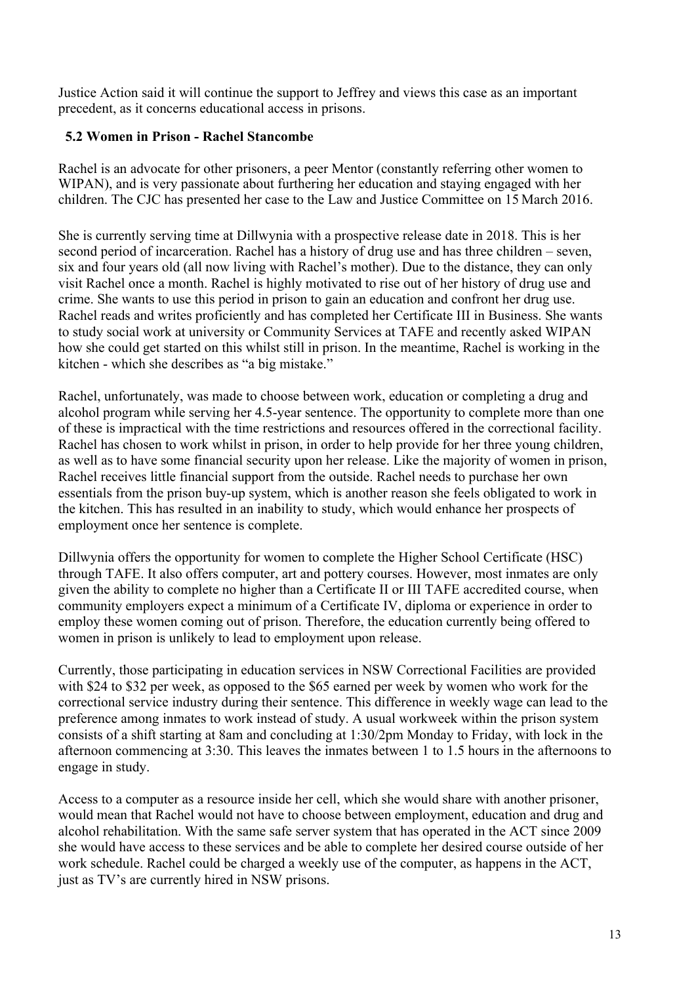Justice Action said it will continue the support to Jeffrey and views this case as an important precedent, as it concerns educational access in prisons.

## **5.2 Women in Prison - Rachel Stancombe**

Rachel is an advocate for other prisoners, a peer Mentor (constantly referring other women to WIPAN), and is very passionate about furthering her education and staying engaged with her children. The CJC has presented her case to the Law and Justice Committee on 15 March 2016.

She is currently serving time at Dillwynia with a prospective release date in 2018. This is her second period of incarceration. Rachel has a history of drug use and has three children – seven, six and four years old (all now living with Rachel's mother). Due to the distance, they can only visit Rachel once a month. Rachel is highly motivated to rise out of her history of drug use and crime. She wants to use this period in prison to gain an education and confront her drug use. Rachel reads and writes proficiently and has completed her Certificate III in Business. She wants to study social work at university or Community Services at TAFE and recently asked WIPAN how she could get started on this whilst still in prison. In the meantime, Rachel is working in the kitchen - which she describes as "a big mistake."

Rachel, unfortunately, was made to choose between work, education or completing a drug and alcohol program while serving her 4.5-year sentence. The opportunity to complete more than one of these is impractical with the time restrictions and resources offered in the correctional facility. Rachel has chosen to work whilst in prison, in order to help provide for her three young children, as well as to have some financial security upon her release. Like the majority of women in prison, Rachel receives little financial support from the outside. Rachel needs to purchase her own essentials from the prison buy-up system, which is another reason she feels obligated to work in the kitchen. This has resulted in an inability to study, which would enhance her prospects of employment once her sentence is complete.

Dillwynia offers the opportunity for women to complete the Higher School Certificate (HSC) through TAFE. It also offers computer, art and pottery courses. However, most inmates are only given the ability to complete no higher than a Certificate II or III TAFE accredited course, when community employers expect a minimum of a Certificate IV, diploma or experience in order to employ these women coming out of prison. Therefore, the education currently being offered to women in prison is unlikely to lead to employment upon release.

Currently, those participating in education services in NSW Correctional Facilities are provided with \$24 to \$32 per week, as opposed to the \$65 earned per week by women who work for the correctional service industry during their sentence. This difference in weekly wage can lead to the preference among inmates to work instead of study. A usual workweek within the prison system consists of a shift starting at 8am and concluding at 1:30/2pm Monday to Friday, with lock in the afternoon commencing at 3:30. This leaves the inmates between 1 to 1.5 hours in the afternoons to engage in study.

Access to a computer as a resource inside her cell, which she would share with another prisoner, would mean that Rachel would not have to choose between employment, education and drug and alcohol rehabilitation. With the same safe server system that has operated in the ACT since 2009 she would have access to these services and be able to complete her desired course outside of her work schedule. Rachel could be charged a weekly use of the computer, as happens in the ACT, just as TV's are currently hired in NSW prisons.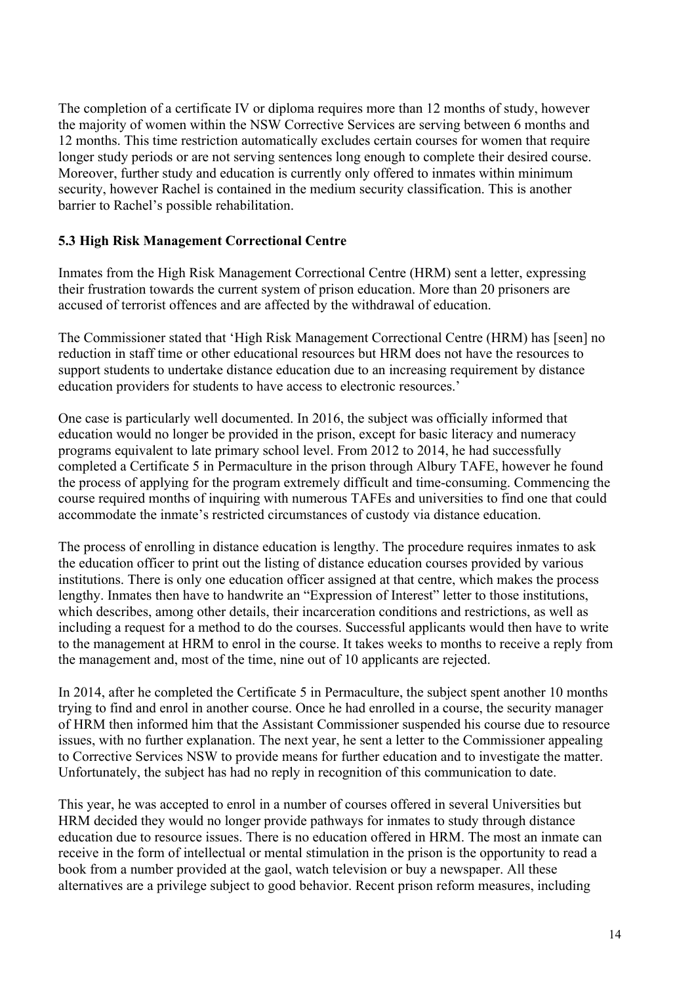The completion of a certificate IV or diploma requires more than 12 months of study, however the majority of women within the NSW Corrective Services are serving between 6 months and 12 months. This time restriction automatically excludes certain courses for women that require longer study periods or are not serving sentences long enough to complete their desired course. Moreover, further study and education is currently only offered to inmates within minimum security, however Rachel is contained in the medium security classification. This is another barrier to Rachel's possible rehabilitation.

## **5.3 High Risk Management Correctional Centre**

Inmates from the High Risk Management Correctional Centre (HRM) sent a letter, expressing their frustration towards the current system of prison education. More than 20 prisoners are accused of terrorist offences and are affected by the withdrawal of education.

The Commissioner stated that 'High Risk Management Correctional Centre (HRM) has [seen] no reduction in staff time or other educational resources but HRM does not have the resources to support students to undertake distance education due to an increasing requirement by distance education providers for students to have access to electronic resources.'

One case is particularly well documented. In 2016, the subject was officially informed that education would no longer be provided in the prison, except for basic literacy and numeracy programs equivalent to late primary school level. From 2012 to 2014, he had successfully completed a Certificate 5 in Permaculture in the prison through Albury TAFE, however he found the process of applying for the program extremely difficult and time-consuming. Commencing the course required months of inquiring with numerous TAFEs and universities to find one that could accommodate the inmate's restricted circumstances of custody via distance education.

The process of enrolling in distance education is lengthy. The procedure requires inmates to ask the education officer to print out the listing of distance education courses provided by various institutions. There is only one education officer assigned at that centre, which makes the process lengthy. Inmates then have to handwrite an "Expression of Interest" letter to those institutions, which describes, among other details, their incarceration conditions and restrictions, as well as including a request for a method to do the courses. Successful applicants would then have to write to the management at HRM to enrol in the course. It takes weeks to months to receive a reply from the management and, most of the time, nine out of 10 applicants are rejected.

In 2014, after he completed the Certificate 5 in Permaculture, the subject spent another 10 months trying to find and enrol in another course. Once he had enrolled in a course, the security manager of HRM then informed him that the Assistant Commissioner suspended his course due to resource issues, with no further explanation. The next year, he sent a letter to the Commissioner appealing to Corrective Services NSW to provide means for further education and to investigate the matter. Unfortunately, the subject has had no reply in recognition of this communication to date.

This year, he was accepted to enrol in a number of courses offered in several Universities but HRM decided they would no longer provide pathways for inmates to study through distance education due to resource issues. There is no education offered in HRM. The most an inmate can receive in the form of intellectual or mental stimulation in the prison is the opportunity to read a book from a number provided at the gaol, watch television or buy a newspaper. All these alternatives are a privilege subject to good behavior. Recent prison reform measures, including